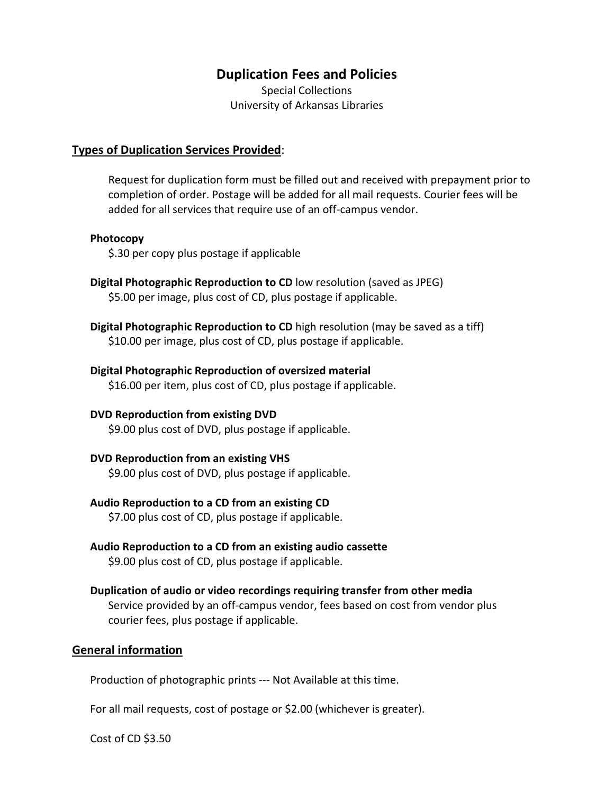# **Duplication Fees and Policies**

Special Collections University of Arkansas Libraries

### **Types of Duplication Services Provided**:

Request for duplication form must be filled out and received with prepayment prior to completion of order. Postage will be added for all mail requests. Courier fees will be added for all services that require use of an off‐campus vendor.

#### **Photocopy**

\$.30 per copy plus postage if applicable

- **Digital Photographic Reproduction to CD** low resolution (saved as JPEG) \$5.00 per image, plus cost of CD, plus postage if applicable.
- **Digital Photographic Reproduction to CD** high resolution (may be saved as a tiff) \$10.00 per image, plus cost of CD, plus postage if applicable.

### **Digital Photographic Reproduction of oversized material** \$16.00 per item, plus cost of CD, plus postage if applicable.

**DVD Reproduction from existing DVD** \$9.00 plus cost of DVD, plus postage if applicable.

# **DVD Reproduction from an existing VHS**

\$9.00 plus cost of DVD, plus postage if applicable.

# **Audio Reproduction to a CD from an existing CD**

\$7.00 plus cost of CD, plus postage if applicable.

**Audio Reproduction to a CD from an existing audio cassette**

\$9.00 plus cost of CD, plus postage if applicable.

**Duplication of audio or video recordings requiring transfer from other media** Service provided by an off‐campus vendor, fees based on cost from vendor plus

courier fees, plus postage if applicable.

# **General information**

Production of photographic prints ‐‐‐ Not Available at this time.

For all mail requests, cost of postage or \$2.00 (whichever is greater).

Cost of CD \$3.50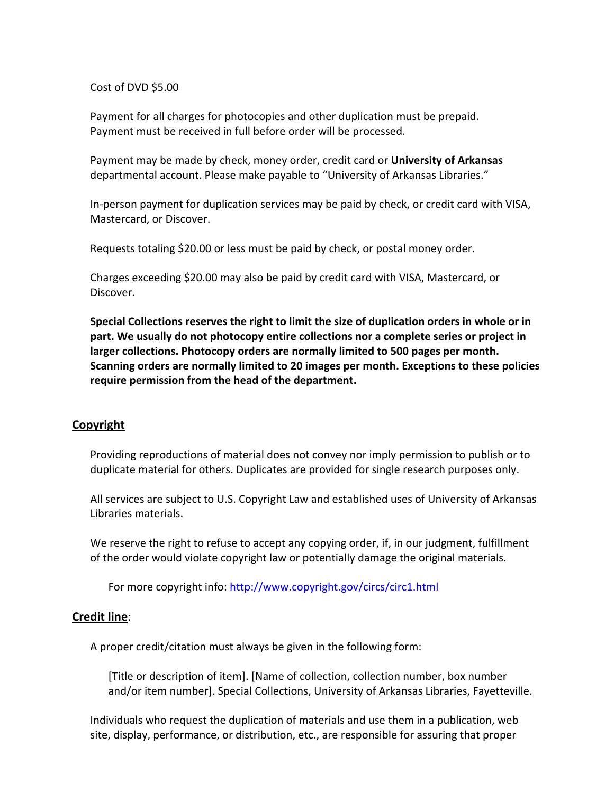#### Cost of DVD \$5.00

Payment for all charges for photocopies and other duplication must be prepaid. Payment must be received in full before order will be processed.

Payment may be made by check, money order, credit card or **University of Arkansas** departmental account. Please make payable to "University of Arkansas Libraries."

In‐person payment for duplication services may be paid by check, or credit card with VISA, Mastercard, or Discover.

Requests totaling \$20.00 or less must be paid by check, or postal money order.

Charges exceeding \$20.00 may also be paid by credit card with VISA, Mastercard, or Discover.

**Special Collections reserves the right to limit the size of duplication orders in whole or in part. We usually do not photocopy entire collections nor a complete series or project in larger collections. Photocopy orders are normally limited to 500 pages per month. Scanning orders are normally limited to 20 images per month. Exceptions to these policies require permission from the head of the department.**

# **Copyright**

Providing reproductions of material does not convey nor imply permission to publish or to duplicate material for others. Duplicates are provided for single research purposes only.

All services are subject to U.S. Copyright Law and established uses of University of Arkansas Libraries materials.

We reserve the right to refuse to accept any copying order, if, in our judgment, fulfillment of the order would violate copyright law or potentially damage the original materials.

For more copyright info: http://www.copyright.gov/circs/circ1.html

# **Credit line**:

A proper credit/citation must always be given in the following form:

[Title or description of item]. [Name of collection, collection number, box number and/or item number]. Special Collections, University of Arkansas Libraries, Fayetteville.

Individuals who request the duplication of materials and use them in a publication, web site, display, performance, or distribution, etc., are responsible for assuring that proper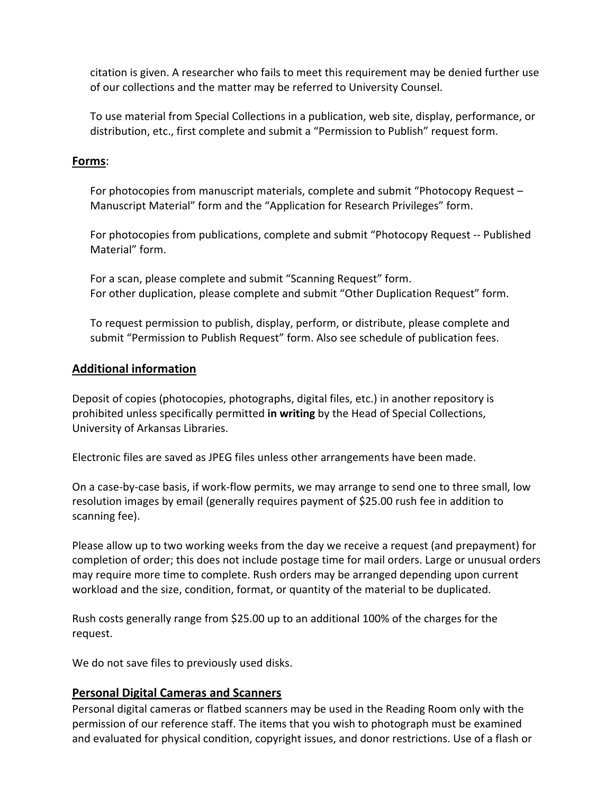citation is given. A researcher who fails to meet this requirement may be denied further use of our collections and the matter may be referred to University Counsel.

To use material from Special Collections in a publication, web site, display, performance, or distribution, etc., first complete and submit a "Permission to Publish" request form.

# **Forms**:

For photocopies from manuscript materials, complete and submit "Photocopy Request – Manuscript Material" form and the "Application for Research Privileges" form.

For photocopies from publications, complete and submit "Photocopy Request ‐‐ Published Material" form.

For a scan, please complete and submit "Scanning Request" form. For other duplication, please complete and submit "Other Duplication Request" form.

To request permission to publish, display, perform, or distribute, please complete and submit "Permission to Publish Request" form. Also see schedule of publication fees.

# **Additional information**

Deposit of copies (photocopies, photographs, digital files, etc.) in another repository is prohibited unless specifically permitted **in writing** by the Head of Special Collections, University of Arkansas Libraries.

Electronic files are saved as JPEG files unless other arrangements have been made.

On a case‐by‐case basis, if work‐flow permits, we may arrange to send one to three small, low resolution images by email (generally requires payment of \$25.00 rush fee in addition to scanning fee).

Please allow up to two working weeks from the day we receive a request (and prepayment) for completion of order; this does not include postage time for mail orders. Large or unusual orders may require more time to complete. Rush orders may be arranged depending upon current workload and the size, condition, format, or quantity of the material to be duplicated.

Rush costs generally range from \$25.00 up to an additional 100% of the charges for the request.

We do not save files to previously used disks.

# **Personal Digital Cameras and Scanners**

Personal digital cameras or flatbed scanners may be used in the Reading Room only with the permission of our reference staff. The items that you wish to photograph must be examined and evaluated for physical condition, copyright issues, and donor restrictions. Use of a flash or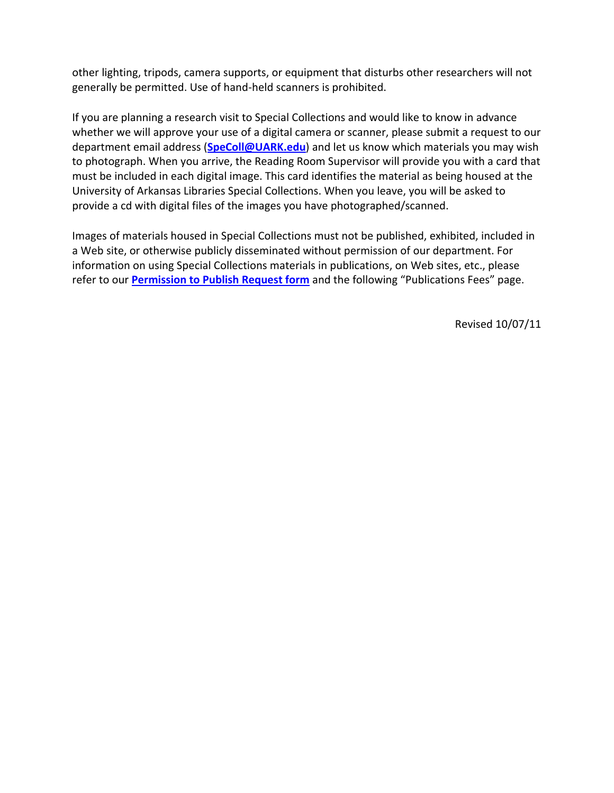other lighting, tripods, camera supports, or equipment that disturbs other researchers will not generally be permitted. Use of hand‐held scanners is prohibited.

If you are planning a research visit to Special Collections and would like to know in advance whether we will approve your use of a digital camera or scanner, please submit a request to our department email address (**SpeColl@UARK.edu**) and let us know which materials you may wish to photograph. When you arrive, the Reading Room Supervisor will provide you with a card that must be included in each digital image. This card identifies the material as being housed at the University of Arkansas Libraries Special Collections. When you leave, you will be asked to provide a cd with digital files of the images you have photographed/scanned.

Images of materials housed in Special Collections must not be published, exhibited, included in a Web site, or otherwise publicly disseminated without permission of our department. For information on using Special Collections materials in publications, on Web sites, etc., please refer to our **Permission to Publish Request form** and the following "Publications Fees" page.

Revised 10/07/11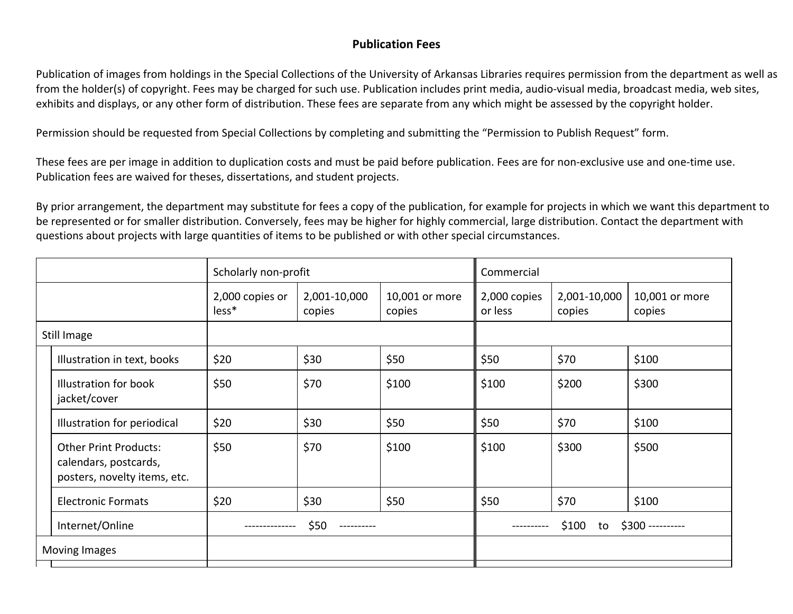# **Publication Fees**

Publication of images from holdings in the Special Collections of the University of Arkansas Libraries requires permission from the department as well as from the holder(s) of copyright. Fees may be charged for such use. Publication includes print media, audio‐visual media, broadcast media, web sites, exhibits and displays, or any other form of distribution. These fees are separate from any which might be assessed by the copyright holder.

Permission should be requested from Special Collections by completing and submitting the "Permission to Publish Request" form.

These fees are per image in addition to duplication costs and must be paid before publication. Fees are for non‐exclusive use and one‐time use. Publication fees are waived for theses, dissertations, and student projects.

By prior arrangement, the department may substitute for fees <sup>a</sup> copy of the publication, for example for projects in which we want this department to be represented or for smaller distribution. Conversely, fees may be higher for highly commercial, large distribution. Contact the department with questions about projects with large quantities of items to be published or with other special circumstances.

|               |                                                                                       | Scholarly non-profit     |                        |                          | Commercial                      |                        |                          |
|---------------|---------------------------------------------------------------------------------------|--------------------------|------------------------|--------------------------|---------------------------------|------------------------|--------------------------|
|               |                                                                                       | 2,000 copies or<br>less* | 2,001-10,000<br>copies | 10,001 or more<br>copies | 2,000 copies<br>or less         | 2,001-10,000<br>copies | 10,001 or more<br>copies |
| Still Image   |                                                                                       |                          |                        |                          |                                 |                        |                          |
|               | Illustration in text, books                                                           | \$20                     | \$30                   | \$50                     | \$50                            | \$70                   | \$100                    |
|               | Illustration for book<br>jacket/cover                                                 | \$50                     | \$70                   | \$100                    | \$100                           | \$200                  | \$300                    |
|               | Illustration for periodical                                                           | \$20                     | \$30                   | \$50                     | \$50                            | \$70                   | \$100                    |
|               | <b>Other Print Products:</b><br>calendars, postcards,<br>posters, novelty items, etc. | \$50                     | \$70                   | \$100                    | \$100                           | \$300                  | \$500                    |
|               | <b>Electronic Formats</b>                                                             | \$20                     | \$30                   | \$50                     | \$50                            | \$70                   | \$100                    |
|               | Internet/Online                                                                       | \$50                     |                        |                          | \$100<br>\$300 ----------<br>to |                        |                          |
| Moving Images |                                                                                       |                          |                        |                          |                                 |                        |                          |
|               |                                                                                       |                          |                        |                          |                                 |                        |                          |